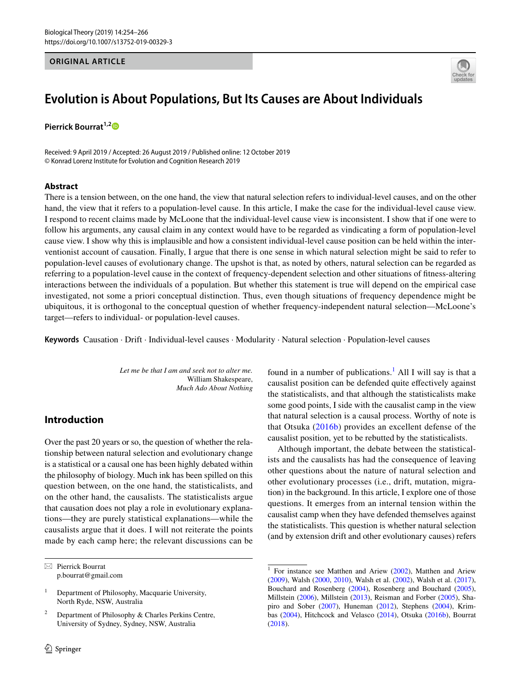#### **ORIGINAL ARTICLE**



# **Evolution is About Populations, But Its Causes are About Individuals**

**Pierrick Bourrat**<sup>1,[2](http://orcid.org/0000-0002-4465-6015)</sup><sup>**D**</sup>

Received: 9 April 2019 / Accepted: 26 August 2019 / Published online: 12 October 2019 © Konrad Lorenz Institute for Evolution and Cognition Research 2019

#### **Abstract**

There is a tension between, on the one hand, the view that natural selection refers to individual-level causes, and on the other hand, the view that it refers to a population-level cause. In this article, I make the case for the individual-level cause view. I respond to recent claims made by McLoone that the individual-level cause view is inconsistent. I show that if one were to follow his arguments, any causal claim in any context would have to be regarded as vindicating a form of population-level cause view. I show why this is implausible and how a consistent individual-level cause position can be held within the interventionist account of causation. Finally, I argue that there is one sense in which natural selection might be said to refer to population-level causes of evolutionary change. The upshot is that, as noted by others, natural selection can be regarded as referring to a population-level cause in the context of frequency-dependent selection and other situations of ftness-altering interactions between the individuals of a population. But whether this statement is true will depend on the empirical case investigated, not some a priori conceptual distinction. Thus, even though situations of frequency dependence might be ubiquitous, it is orthogonal to the conceptual question of whether frequency-independent natural selection—McLoone's target—refers to individual- or population-level causes.

**Keywords** Causation · Drift · Individual-level causes · Modularity · Natural selection · Population-level causes

*Let me be that I am and seek not to alter me.* William Shakespeare,  *Much Ado About Nothing*

# **Introduction**

Over the past 20 years or so, the question of whether the relationship between natural selection and evolutionary change is a statistical or a causal one has been highly debated within the philosophy of biology. Much ink has been spilled on this question between, on the one hand, the statisticalists, and on the other hand, the causalists. The statisticalists argue that causation does not play a role in evolutionary explanations—they are purely statistical explanations—while the causalists argue that it does. I will not reiterate the points made by each camp here; the relevant discussions can be

 $\boxtimes$  Pierrick Bourrat p.bourrat@gmail.com

<sup>1</sup> Department of Philosophy, Macquarie University, North Ryde, NSW, Australia

Department of Philosophy & Charles Perkins Centre, University of Sydney, Sydney, NSW, Australia

found in a number of publications.<sup>[1](#page-0-0)</sup> All I will say is that a causalist position can be defended quite efectively against the statisticalists, and that although the statisticalists make some good points, I side with the causalist camp in the view that natural selection is a causal process. Worthy of note is that Otsuka ([2016b\)](#page-12-0) provides an excellent defense of the causalist position, yet to be rebutted by the statisticalists.

Although important, the debate between the statisticalists and the causalists has had the consequence of leaving other questions about the nature of natural selection and other evolutionary processes (i.e., drift, mutation, migration) in the background. In this article, I explore one of those questions. It emerges from an internal tension within the causalist camp when they have defended themselves against the statisticalists. This question is whether natural selection (and by extension drift and other evolutionary causes) refers

<span id="page-0-0"></span> $1$  For instance see Matthen and Ariew ([2002\)](#page-12-1), Matthen and Ariew ([2009\)](#page-12-2), Walsh ([2000,](#page-12-3) [2010\)](#page-12-4), Walsh et al. ([2002\)](#page-12-5), Walsh et al. [\(2017](#page-12-6)), Bouchard and Rosenberg [\(2004](#page-11-0)), Rosenberg and Bouchard [\(2005](#page-12-7)), Millstein [\(2006](#page-12-8)), Millstein [\(2013](#page-12-9)), Reisman and Forber ([2005\)](#page-12-10), Shapiro and Sober [\(2007](#page-12-11)), Huneman [\(2012](#page-12-12)), Stephens [\(2004](#page-12-13)), Krimbas [\(2004](#page-12-14)), Hitchcock and Velasco ([2014\)](#page-12-15), Otsuka ([2016b](#page-12-0)), Bourrat ([2018\)](#page-11-1).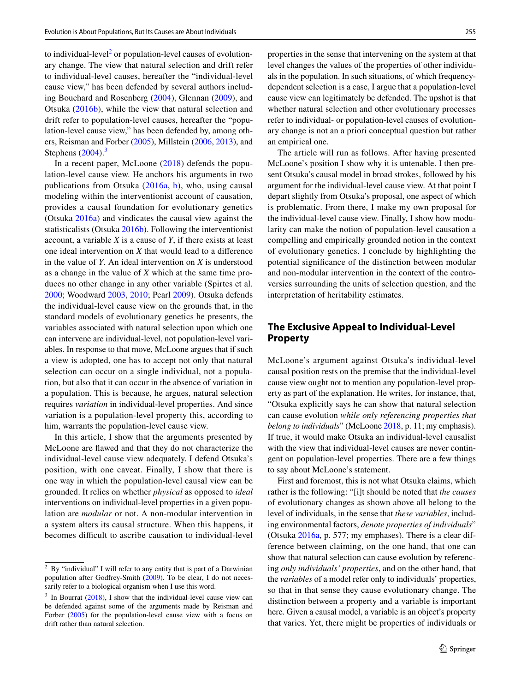to individual-level<sup>[2](#page-1-0)</sup> or population-level causes of evolutionary change. The view that natural selection and drift refer to individual-level causes, hereafter the "individual-level cause view," has been defended by several authors including Bouchard and Rosenberg ([2004\)](#page-11-0), Glennan [\(2009\)](#page-11-2), and Otsuka [\(2016b](#page-12-0)), while the view that natural selection and drift refer to population-level causes, hereafter the "population-level cause view," has been defended by, among others, Reisman and Forber ([2005\)](#page-12-10), Millstein [\(2006](#page-12-8), [2013\)](#page-12-9), and Stephens  $(2004)$  $(2004)$ .<sup>[3](#page-1-1)</sup>

In a recent paper, McLoone [\(2018](#page-12-16)) defends the population-level cause view. He anchors his arguments in two publications from Otsuka [\(2016a,](#page-12-17) [b](#page-12-0)), who, using causal modeling within the interventionist account of causation, provides a causal foundation for evolutionary genetics (Otsuka [2016a\)](#page-12-17) and vindicates the causal view against the statisticalists (Otsuka [2016b](#page-12-0)). Following the interventionist account, a variable *X* is a cause of *Y*, if there exists at least one ideal intervention on *X* that would lead to a diference in the value of *Y*. An ideal intervention on *X* is understood as a change in the value of *X* which at the same time produces no other change in any other variable (Spirtes et al. [2000](#page-12-18); Woodward [2003,](#page-12-19) [2010](#page-12-20); Pearl [2009](#page-12-21)). Otsuka defends the individual-level cause view on the grounds that, in the standard models of evolutionary genetics he presents, the variables associated with natural selection upon which one can intervene are individual-level, not population-level variables. In response to that move, McLoone argues that if such a view is adopted, one has to accept not only that natural selection can occur on a single individual, not a population, but also that it can occur in the absence of variation in a population. This is because, he argues, natural selection requires *variation* in individual-level properties. And since variation is a population-level property this, according to him, warrants the population-level cause view.

In this article, I show that the arguments presented by McLoone are fawed and that they do not characterize the individual-level cause view adequately. I defend Otsuka's position, with one caveat. Finally, I show that there is one way in which the population-level causal view can be grounded. It relies on whether *physical* as opposed to *ideal* interventions on individual-level properties in a given population are *modular* or not. A non-modular intervention in a system alters its causal structure. When this happens, it becomes difficult to ascribe causation to individual-level

properties in the sense that intervening on the system at that level changes the values of the properties of other individuals in the population. In such situations, of which frequencydependent selection is a case, I argue that a population-level cause view can legitimately be defended. The upshot is that whether natural selection and other evolutionary processes refer to individual- or population-level causes of evolutionary change is not an a priori conceptual question but rather

an empirical one.

The article will run as follows. After having presented McLoone's position I show why it is untenable. I then present Otsuka's causal model in broad strokes, followed by his argument for the individual-level cause view. At that point I depart slightly from Otsuka's proposal, one aspect of which is problematic. From there, I make my own proposal for the individual-level cause view. Finally, I show how modularity can make the notion of population-level causation a compelling and empirically grounded notion in the context of evolutionary genetics. I conclude by highlighting the potential signifcance of the distinction between modular and non-modular intervention in the context of the controversies surrounding the units of selection question, and the interpretation of heritability estimates.

## **The Exclusive Appeal to Individual‑Level Property**

McLoone's argument against Otsuka's individual-level causal position rests on the premise that the individual-level cause view ought not to mention any population-level property as part of the explanation. He writes, for instance, that, "Otsuka explicitly says he can show that natural selection can cause evolution *while only referencing properties that belong to individuals*" (McLoone [2018](#page-12-16), p. 11; my emphasis). If true, it would make Otsuka an individual-level causalist with the view that individual-level causes are never contingent on population-level properties. There are a few things to say about McLoone's statement.

First and foremost, this is not what Otsuka claims, which rather is the following: "[i]t should be noted that *the causes* of evolutionary changes as shown above all belong to the level of individuals, in the sense that *these variables*, including environmental factors, *denote properties of individuals*" (Otsuka [2016a](#page-12-17), p. 577; my emphases). There is a clear difference between claiming, on the one hand, that one can show that natural selection can cause evolution by referencing *only individuals' properties*, and on the other hand, that the *variables* of a model refer only to individuals' properties, so that in that sense they cause evolutionary change. The distinction between a property and a variable is important here. Given a causal model, a variable is an object's property that varies. Yet, there might be properties of individuals or

<span id="page-1-0"></span><sup>&</sup>lt;sup>2</sup> By "individual" I will refer to any entity that is part of a Darwinian population after Godfrey-Smith [\(2009](#page-11-3)). To be clear, I do not necessarily refer to a biological organism when I use this word.

<span id="page-1-1"></span> $3$  In Bourrat [\(2018](#page-11-1)), I show that the individual-level cause view can be defended against some of the arguments made by Reisman and Forber [\(2005](#page-12-10)) for the population-level cause view with a focus on drift rather than natural selection.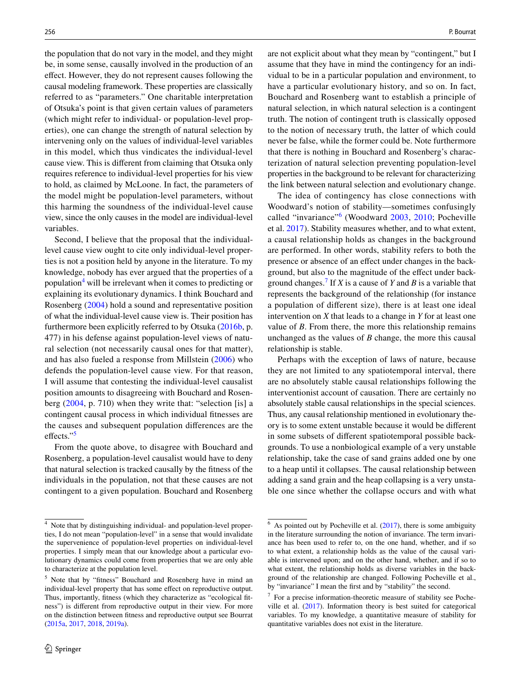the population that do not vary in the model, and they might be, in some sense, causally involved in the production of an efect. However, they do not represent causes following the causal modeling framework. These properties are classically referred to as "parameters." One charitable interpretation of Otsuka's point is that given certain values of parameters (which might refer to individual- or population-level properties), one can change the strength of natural selection by intervening only on the values of individual-level variables in this model, which thus vindicates the individual-level cause view. This is diferent from claiming that Otsuka only requires reference to individual-level properties for his view to hold, as claimed by McLoone. In fact, the parameters of the model might be population-level parameters, without this harming the soundness of the individual-level cause view, since the only causes in the model are individual-level variables.

Second, I believe that the proposal that the individuallevel cause view ought to cite only individual-level properties is not a position held by anyone in the literature. To my knowledge, nobody has ever argued that the properties of a population<sup>[4](#page-2-0)</sup> will be irrelevant when it comes to predicting or explaining its evolutionary dynamics. I think Bouchard and Rosenberg ([2004\)](#page-11-0) hold a sound and representative position of what the individual-level cause view is. Their position has furthermore been explicitly referred to by Otsuka ([2016b,](#page-12-0) p. 477) in his defense against population-level views of natural selection (not necessarily causal ones for that matter), and has also fueled a response from Millstein ([2006](#page-12-8)) who defends the population-level cause view. For that reason, I will assume that contesting the individual-level causalist position amounts to disagreeing with Bouchard and Rosenberg [\(2004,](#page-11-0) p. 710) when they write that: "selection [is] a contingent causal process in which individual ftnesses are the causes and subsequent population diferences are the effects."<sup>[5](#page-2-1)</sup>

From the quote above, to disagree with Bouchard and Rosenberg, a population-level causalist would have to deny that natural selection is tracked causally by the ftness of the individuals in the population, not that these causes are not contingent to a given population. Bouchard and Rosenberg are not explicit about what they mean by "contingent," but I assume that they have in mind the contingency for an individual to be in a particular population and environment, to have a particular evolutionary history, and so on. In fact, Bouchard and Rosenberg want to establish a principle of natural selection, in which natural selection is a contingent truth. The notion of contingent truth is classically opposed to the notion of necessary truth, the latter of which could never be false, while the former could be. Note furthermore that there is nothing in Bouchard and Rosenberg's characterization of natural selection preventing population-level properties in the background to be relevant for characterizing the link between natural selection and evolutionary change.

The idea of contingency has close connections with Woodward's notion of stability—sometimes confusingly called "invariance"<sup>[6](#page-2-2)</sup> (Woodward [2003](#page-12-19), [2010](#page-12-20); Pocheville et al. [2017\)](#page-12-22). Stability measures whether, and to what extent, a causal relationship holds as changes in the background are performed. In other words, stability refers to both the presence or absence of an efect under changes in the background, but also to the magnitude of the efect under background changes.[7](#page-2-3) If *X* is a cause of *Y* and *B* is a variable that represents the background of the relationship (for instance a population of diferent size), there is at least one ideal intervention on *X* that leads to a change in *Y* for at least one value of *B*. From there, the more this relationship remains unchanged as the values of *B* change, the more this causal relationship is stable.

Perhaps with the exception of laws of nature, because they are not limited to any spatiotemporal interval, there are no absolutely stable causal relationships following the interventionist account of causation. There are certainly no absolutely stable causal relationships in the special sciences. Thus, any causal relationship mentioned in evolutionary theory is to some extent unstable because it would be diferent in some subsets of diferent spatiotemporal possible backgrounds. To use a nonbiological example of a very unstable relationship, take the case of sand grains added one by one to a heap until it collapses. The causal relationship between adding a sand grain and the heap collapsing is a very unstable one since whether the collapse occurs and with what

<span id="page-2-0"></span><sup>4</sup> Note that by distinguishing individual- and population-level properties, I do not mean "population-level" in a sense that would invalidate the supervenience of population-level properties on individual-level properties. I simply mean that our knowledge about a particular evolutionary dynamics could come from properties that we are only able to characterize at the population level.

<span id="page-2-1"></span><sup>5</sup> Note that by "ftness" Bouchard and Rosenberg have in mind an individual-level property that has some efect on reproductive output. Thus, importantly, ftness (which they characterize as "ecological ftness") is diferent from reproductive output in their view. For more on the distinction between ftness and reproductive output see Bourrat ([2015a,](#page-11-4) [2017,](#page-11-5) [2018](#page-11-1), [2019a](#page-11-6)).

<span id="page-2-2"></span> $6$  As pointed out by Pocheville et al. [\(2017](#page-12-22)), there is some ambiguity in the literature surrounding the notion of invariance. The term invariance has been used to refer to, on the one hand, whether, and if so to what extent, a relationship holds as the value of the causal variable is intervened upon; and on the other hand, whether, and if so to what extent, the relationship holds as diverse variables in the background of the relationship are changed. Following Pocheville et al., by "invariance" I mean the frst and by "stability" the second.

<span id="page-2-3"></span><sup>7</sup> For a precise information-theoretic measure of stability see Pocheville et al. ([2017\)](#page-12-22). Information theory is best suited for categorical variables. To my knowledge, a quantitative measure of stability for quantitative variables does not exist in the literature.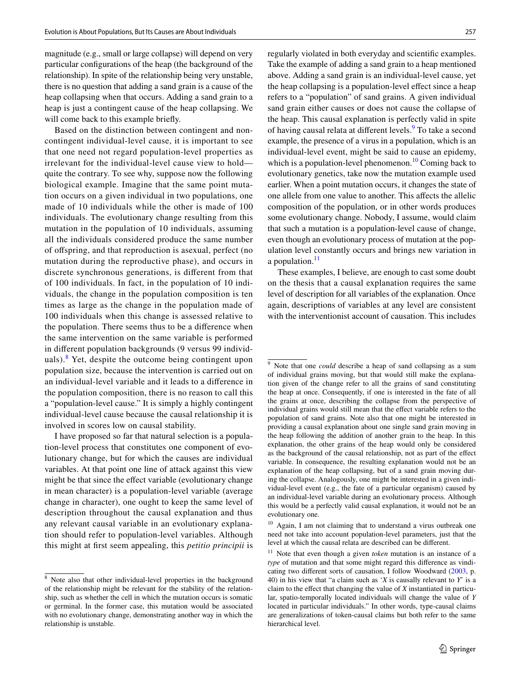magnitude (e.g., small or large collapse) will depend on very particular confgurations of the heap (the background of the relationship). In spite of the relationship being very unstable, there is no question that adding a sand grain is a cause of the heap collapsing when that occurs. Adding a sand grain to a heap is just a contingent cause of the heap collapsing. We will come back to this example briefy.

Based on the distinction between contingent and noncontingent individual-level cause, it is important to see that one need not regard population-level properties as irrelevant for the individual-level cause view to hold quite the contrary. To see why, suppose now the following biological example. Imagine that the same point mutation occurs on a given individual in two populations, one made of 10 individuals while the other is made of 100 individuals. The evolutionary change resulting from this mutation in the population of 10 individuals, assuming all the individuals considered produce the same number of ofspring, and that reproduction is asexual, perfect (no mutation during the reproductive phase), and occurs in discrete synchronous generations, is diferent from that of 100 individuals. In fact, in the population of 10 individuals, the change in the population composition is ten times as large as the change in the population made of 100 individuals when this change is assessed relative to the population. There seems thus to be a diference when the same intervention on the same variable is performed in diferent population backgrounds (9 versus 99 individ-uals).<sup>[8](#page-3-0)</sup> Yet, despite the outcome being contingent upon population size, because the intervention is carried out on an individual-level variable and it leads to a diference in the population composition, there is no reason to call this a "population-level cause." It is simply a highly contingent individual-level cause because the causal relationship it is involved in scores low on causal stability.

I have proposed so far that natural selection is a population-level process that constitutes one component of evolutionary change, but for which the causes are individual variables. At that point one line of attack against this view might be that since the effect variable (evolutionary change in mean character) is a population-level variable (average change in character), one ought to keep the same level of description throughout the causal explanation and thus any relevant causal variable in an evolutionary explanation should refer to population-level variables. Although this might at frst seem appealing, this *petitio principii* is regularly violated in both everyday and scientifc examples. Take the example of adding a sand grain to a heap mentioned above. Adding a sand grain is an individual-level cause, yet the heap collapsing is a population-level effect since a heap refers to a "population" of sand grains. A given individual sand grain either causes or does not cause the collapse of the heap. This causal explanation is perfectly valid in spite of having causal relata at different levels.<sup>[9](#page-3-1)</sup> To take a second example, the presence of a virus in a population, which is an individual-level event, might be said to cause an epidemy, which is a population-level phenomenon.<sup>10</sup> Coming back to evolutionary genetics, take now the mutation example used earlier. When a point mutation occurs, it changes the state of one allele from one value to another. This afects the allelic composition of the population, or in other words produces some evolutionary change. Nobody, I assume, would claim that such a mutation is a population-level cause of change, even though an evolutionary process of mutation at the population level constantly occurs and brings new variation in a population. $^{11}$  $^{11}$  $^{11}$ 

These examples, I believe, are enough to cast some doubt on the thesis that a causal explanation requires the same level of description for all variables of the explanation. Once again, descriptions of variables at any level are consistent with the interventionist account of causation. This includes

<span id="page-3-0"></span><sup>8</sup> Note also that other individual-level properties in the background of the relationship might be relevant for the stability of the relationship, such as whether the cell in which the mutation occurs is somatic or germinal. In the former case, this mutation would be associated with no evolutionary change, demonstrating another way in which the relationship is unstable.

<span id="page-3-1"></span><sup>9</sup> Note that one *could* describe a heap of sand collapsing as a sum of individual grains moving, but that would still make the explanation given of the change refer to all the grains of sand constituting the heap at once. Consequently, if one is interested in the fate of all the grains at once, describing the collapse from the perspective of individual grains would still mean that the effect variable refers to the population of sand grains. Note also that one might be interested in providing a causal explanation about one single sand grain moving in the heap following the addition of another grain to the heap. In this explanation, the other grains of the heap would only be considered as the background of the causal relationship, not as part of the efect variable. In consequence, the resulting explanation would not be an explanation of the heap collapsing, but of a sand grain moving during the collapse. Analogously, one might be interested in a given individual-level event (e.g., the fate of a particular organism) caused by an individual-level variable during an evolutionary process. Although this would be a perfectly valid causal explanation, it would not be an evolutionary one.

<span id="page-3-2"></span><sup>&</sup>lt;sup>10</sup> Again, I am not claiming that to understand a virus outbreak one need not take into account population-level parameters, just that the level at which the causal relata are described can be diferent.

<span id="page-3-3"></span><sup>11</sup> Note that even though a given *token* mutation is an instance of a *type* of mutation and that some might regard this diference as vindicating two diferent sorts of causation, I follow Woodward ([2003,](#page-12-19) p. 40) in his view that "a claim such as '*X* is causally relevant to *Y*' is a claim to the efect that changing the value of *X* instantiated in particular, spatio-temporally located individuals will change the value of *Y* located in particular individuals." In other words, type-causal claims are generalizations of token-causal claims but both refer to the same hierarchical level.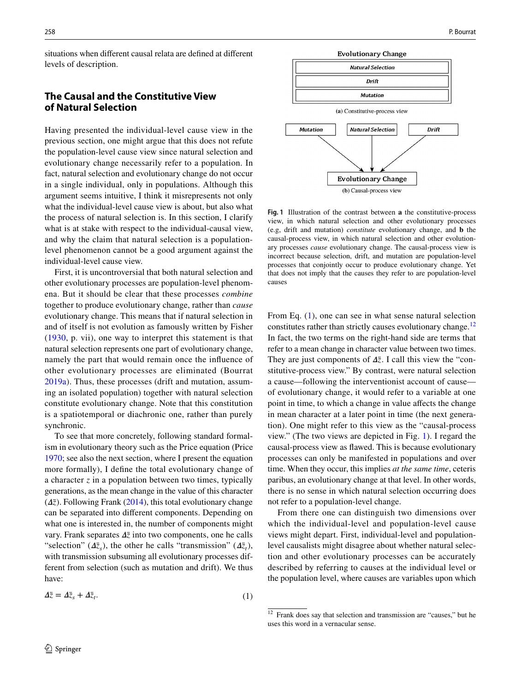situations when diferent causal relata are defned at diferent levels of description.

# **The Causal and the Constitutive View of Natural Selection**

Having presented the individual-level cause view in the previous section, one might argue that this does not refute the population-level cause view since natural selection and evolutionary change necessarily refer to a population. In fact, natural selection and evolutionary change do not occur in a single individual, only in populations. Although this argument seems intuitive, I think it misrepresents not only what the individual-level cause view is about, but also what the process of natural selection is. In this section, I clarify what is at stake with respect to the individual-causal view, and why the claim that natural selection is a populationlevel phenomenon cannot be a good argument against the individual-level cause view.

First, it is uncontroversial that both natural selection and other evolutionary processes are population-level phenomena. But it should be clear that these processes *combine* together to produce evolutionary change, rather than *cause* evolutionary change. This means that if natural selection in and of itself is not evolution as famously written by Fisher ([1930](#page-11-7), p. vii), one way to interpret this statement is that natural selection represents one part of evolutionary change, namely the part that would remain once the infuence of other evolutionary processes are eliminated (Bourrat [2019a\)](#page-11-6). Thus, these processes (drift and mutation, assuming an isolated population) together with natural selection constitute evolutionary change. Note that this constitution is a spatiotemporal or diachronic one, rather than purely synchronic.

To see that more concretely, following standard formalism in evolutionary theory such as the Price equation (Price [1970](#page-12-23); see also the next section, where I present the equation more formally), I defne the total evolutionary change of a character *z* in a population between two times, typically generations, as the mean change in the value of this character  $(\Delta \bar{z})$ . Following Frank [\(2014](#page-11-8)), this total evolutionary change can be separated into diferent components. Depending on what one is interested in, the number of components might vary. Frank separates  $\Delta \bar{z}$  into two components, one he calls "selection" ( $\Delta \bar{z}_s$ ), the other he calls "transmission" ( $\Delta \bar{z}_t$ ), with transmission subsuming all evolutionary processes different from selection (such as mutation and drift). We thus have:

$$
\Delta \bar{z} = \Delta \bar{z}_s + \Delta \bar{z}_t. \tag{1}
$$



<span id="page-4-2"></span>**Fig. 1** Illustration of the contrast between **a** the constitutive-process view, in which natural selection and other evolutionary processes (e.g, drift and mutation) *constitute* evolutionary change, and **b** the causal-process view, in which natural selection and other evolutionary processes *cause* evolutionary change. The causal-process view is incorrect because selection, drift, and mutation are population-level processes that conjointly occur to produce evolutionary change. Yet that does not imply that the causes they refer to are population-level causes

From Eq. ([1\)](#page-4-0), one can see in what sense natural selection constitutes rather than strictly causes evolutionary change.<sup>[12](#page-4-1)</sup> In fact, the two terms on the right-hand side are terms that refer to a mean change in character value between two times. They are just components of  $\Delta \bar{z}$ . I call this view the "constitutive-process view." By contrast, were natural selection a cause—following the interventionist account of cause of evolutionary change, it would refer to a variable at one point in time, to which a change in value afects the change in mean character at a later point in time (the next generation). One might refer to this view as the "causal-process view." (The two views are depicted in Fig. [1](#page-4-2)). I regard the causal-process view as fawed. This is because evolutionary processes can only be manifested in populations and over time. When they occur, this implies *at the same time*, ceteris paribus, an evolutionary change at that level. In other words, there is no sense in which natural selection occurring does not refer to a population-level change.

From there one can distinguish two dimensions over which the individual-level and population-level cause views might depart. First, individual-level and populationlevel causalists might disagree about whether natural selection and other evolutionary processes can be accurately described by referring to causes at the individual level or the population level, where causes are variables upon which

<span id="page-4-1"></span><span id="page-4-0"></span><sup>&</sup>lt;sup>12</sup> Frank does say that selection and transmission are "causes," but he uses this word in a vernacular sense.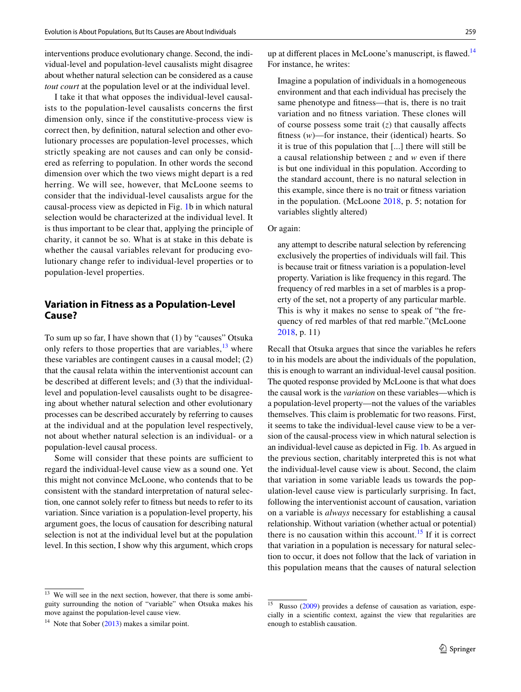interventions produce evolutionary change. Second, the individual-level and population-level causalists might disagree about whether natural selection can be considered as a cause *tout court* at the population level or at the individual level.

I take it that what opposes the individual-level causalists to the population-level causalists concerns the frst dimension only, since if the constitutive-process view is correct then, by defnition, natural selection and other evolutionary processes are population-level processes, which strictly speaking are not causes and can only be considered as referring to population. In other words the second dimension over which the two views might depart is a red herring. We will see, however, that McLoone seems to consider that the individual-level causalists argue for the causal-process view as depicted in Fig. [1](#page-4-2)b in which natural selection would be characterized at the individual level. It is thus important to be clear that, applying the principle of charity, it cannot be so. What is at stake in this debate is whether the causal variables relevant for producing evolutionary change refer to individual-level properties or to population-level properties.

# **Variation in Fitness as a Population‑Level Cause?**

To sum up so far, I have shown that (1) by "causes" Otsuka only refers to those properties that are variables,  $\frac{13}{13}$  $\frac{13}{13}$  $\frac{13}{13}$  where these variables are contingent causes in a causal model; (2) that the causal relata within the interventionist account can be described at diferent levels; and (3) that the individuallevel and population-level causalists ought to be disagreeing about whether natural selection and other evolutionary processes can be described accurately by referring to causes at the individual and at the population level respectively, not about whether natural selection is an individual- or a population-level causal process.

Some will consider that these points are sufficient to regard the individual-level cause view as a sound one. Yet this might not convince McLoone, who contends that to be consistent with the standard interpretation of natural selection, one cannot solely refer to ftness but needs to refer to its variation. Since variation is a population-level property, his argument goes, the locus of causation for describing natural selection is not at the individual level but at the population level. In this section, I show why this argument, which crops up at different places in McLoone's manuscript, is flawed.<sup>14</sup> For instance, he writes:

Imagine a population of individuals in a homogeneous environment and that each individual has precisely the same phenotype and ftness—that is, there is no trait variation and no ftness variation. These clones will of course possess some trait  $(z)$  that causally affects ftness (*w*)—for instance, their (identical) hearts. So it is true of this population that [...] there will still be a causal relationship between *z* and *w* even if there is but one individual in this population. According to the standard account, there is no natural selection in this example, since there is no trait or ftness variation in the population. (McLoone [2018,](#page-12-16) p. 5; notation for variables slightly altered)

#### Or again:

any attempt to describe natural selection by referencing exclusively the properties of individuals will fail. This is because trait or ftness variation is a population-level property. Variation is like frequency in this regard. The frequency of red marbles in a set of marbles is a property of the set, not a property of any particular marble. This is why it makes no sense to speak of "the frequency of red marbles of that red marble."(McLoone [2018,](#page-12-16) p. 11)

Recall that Otsuka argues that since the variables he refers to in his models are about the individuals of the population, this is enough to warrant an individual-level causal position. The quoted response provided by McLoone is that what does the causal work is the *variation* on these variables—which is a population-level property—not the values of the variables themselves. This claim is problematic for two reasons. First, it seems to take the individual-level cause view to be a version of the causal-process view in which natural selection is an individual-level cause as depicted in Fig. [1b](#page-4-2). As argued in the previous section, charitably interpreted this is not what the individual-level cause view is about. Second, the claim that variation in some variable leads us towards the population-level cause view is particularly surprising. In fact, following the interventionist account of causation, variation on a variable is *always* necessary for establishing a causal relationship. Without variation (whether actual or potential) there is no causation within this account.<sup>[15](#page-5-2)</sup> If it is correct that variation in a population is necessary for natural selection to occur, it does not follow that the lack of variation in this population means that the causes of natural selection

<span id="page-5-0"></span><sup>&</sup>lt;sup>13</sup> We will see in the next section, however, that there is some ambiguity surrounding the notion of "variable" when Otsuka makes his move against the population-level cause view.

<span id="page-5-1"></span><sup>&</sup>lt;sup>14</sup> Note that Sober  $(2013)$  $(2013)$  makes a similar point.

<span id="page-5-2"></span> $15$  Russo ([2009\)](#page-12-24) provides a defense of causation as variation, especially in a scientifc context, against the view that regularities are enough to establish causation.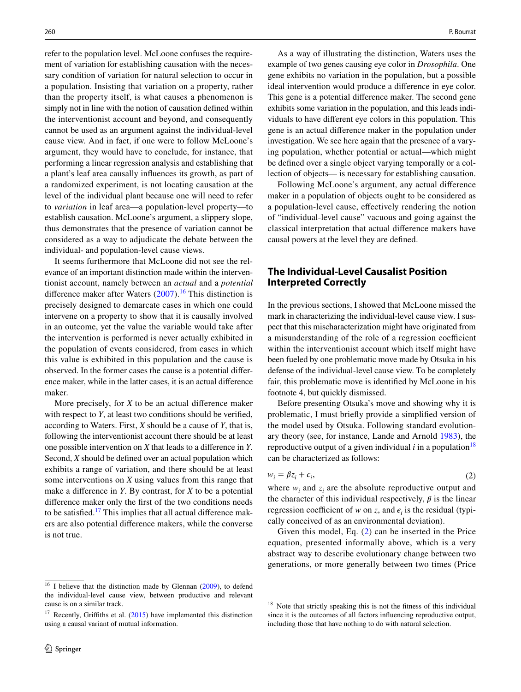refer to the population level. McLoone confuses the requirement of variation for establishing causation with the necessary condition of variation for natural selection to occur in a population. Insisting that variation on a property, rather than the property itself, is what causes a phenomenon is simply not in line with the notion of causation defned within the interventionist account and beyond, and consequently cannot be used as an argument against the individual-level cause view. And in fact, if one were to follow McLoone's argument, they would have to conclude, for instance, that performing a linear regression analysis and establishing that a plant's leaf area causally infuences its growth, as part of a randomized experiment, is not locating causation at the level of the individual plant because one will need to refer to *variation* in leaf area—a population-level property—to establish causation. McLoone's argument, a slippery slope, thus demonstrates that the presence of variation cannot be considered as a way to adjudicate the debate between the individual- and population-level cause views.

It seems furthermore that McLoone did not see the relevance of an important distinction made within the interventionist account, namely between an *actual* and a *potential* difference maker after Waters  $(2007)$  $(2007)$  $(2007)$ .<sup>16</sup> This distinction is precisely designed to demarcate cases in which one could intervene on a property to show that it is causally involved in an outcome, yet the value the variable would take after the intervention is performed is never actually exhibited in the population of events considered, from cases in which this value is exhibited in this population and the cause is observed. In the former cases the cause is a potential diference maker, while in the latter cases, it is an actual diference maker.

More precisely, for *X* to be an actual diference maker with respect to *Y*, at least two conditions should be verifed, according to Waters. First, *X* should be a cause of *Y*, that is, following the interventionist account there should be at least one possible intervention on *X* that leads to a diference in *Y*. Second, *X* should be defned over an actual population which exhibits a range of variation, and there should be at least some interventions on *X* using values from this range that make a diference in *Y*. By contrast, for *X* to be a potential diference maker only the frst of the two conditions needs to be satisfied.<sup>17</sup> This implies that all actual difference makers are also potential diference makers, while the converse is not true.

As a way of illustrating the distinction, Waters uses the example of two genes causing eye color in *Drosophila*. One gene exhibits no variation in the population, but a possible ideal intervention would produce a diference in eye color. This gene is a potential diference maker. The second gene exhibits some variation in the population, and this leads individuals to have diferent eye colors in this population. This gene is an actual diference maker in the population under investigation. We see here again that the presence of a varying population, whether potential or actual—which might be defned over a single object varying temporally or a collection of objects— is necessary for establishing causation.

Following McLoone's argument, any actual diference maker in a population of objects ought to be considered as a population-level cause, efectively rendering the notion of "individual-level cause" vacuous and going against the classical interpretation that actual diference makers have causal powers at the level they are defned.

# **The Individual‑Level Causalist Position Interpreted Correctly**

In the previous sections, I showed that McLoone missed the mark in characterizing the individual-level cause view. I suspect that this mischaracterization might have originated from a misunderstanding of the role of a regression coefficient within the interventionist account which itself might have been fueled by one problematic move made by Otsuka in his defense of the individual-level cause view. To be completely fair, this problematic move is identifed by McLoone in his footnote 4, but quickly dismissed.

Before presenting Otsuka's move and showing why it is problematic, I must briefy provide a simplifed version of the model used by Otsuka. Following standard evolutionary theory (see, for instance, Lande and Arnold [1983](#page-12-27)), the reproductive output of a given individual  $i$  in a population<sup>[18](#page-6-2)</sup> can be characterized as follows:

<span id="page-6-3"></span>
$$
w_i = \beta z_i + \epsilon_i,\tag{2}
$$

where  $w_i$  and  $z_i$  are the absolute reproductive output and the character of this individual respectively,  $\beta$  is the linear regression coefficient of *w* on *z*, and  $\epsilon$ <sup>*i*</sup> is the residual (typically conceived of as an environmental deviation).

Given this model, Eq. ([2\)](#page-6-3) can be inserted in the Price equation, presented informally above, which is a very abstract way to describe evolutionary change between two generations, or more generally between two times (Price

<span id="page-6-1"></span><span id="page-6-0"></span> $17$  Recently, Griffiths et al. ([2015\)](#page-11-9) have implemented this distinction using a causal variant of mutual information.

<span id="page-6-2"></span><sup>&</sup>lt;sup>18</sup> Note that strictly speaking this is not the fitness of this individual since it is the outcomes of all factors infuencing reproductive output, including those that have nothing to do with natural selection.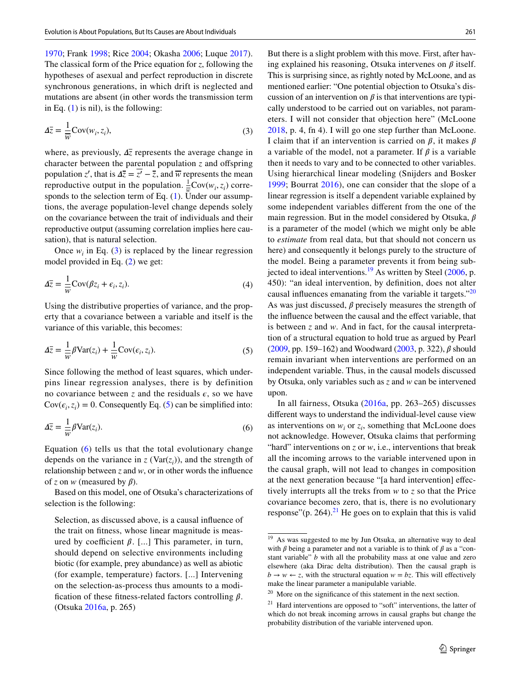[1970](#page-12-23); Frank [1998](#page-11-10); Rice [2004](#page-12-28); Okasha [2006](#page-12-29); Luque [2017](#page-12-30)). The classical form of the Price equation for *z*, following the hypotheses of asexual and perfect reproduction in discrete synchronous generations, in which drift is neglected and mutations are absent (in other words the transmission term in Eq.  $(1)$  $(1)$  is nil), is the following:

$$
\Delta \overline{z} = \frac{1}{\overline{w}} \text{Cov}(w_i, z_i),\tag{3}
$$

where, as previously,  $\Delta \overline{z}$  represents the average change in character between the parental population  $\zeta$  and offspring population *z'*, that is  $\Delta \overline{z} = \overline{z'} - \overline{z}$ , and  $\overline{w}$  represents the mean reproductive output in the population.  $\frac{1}{w} \text{Cov}(w_i, z_i)$  corresponds to the selection term of Eq.  $(1)$  $(1)$ . Under our assumptions, the average population-level change depends solely on the covariance between the trait of individuals and their reproductive output (assuming correlation implies here causation), that is natural selection.

Once  $w_i$  in Eq. ([3\)](#page-7-0) is replaced by the linear regression model provided in Eq. ([2\)](#page-6-3) we get:

$$
\Delta \overline{z} = \frac{1}{\overline{w}} \text{Cov}(\beta z_i + \epsilon_i, z_i). \tag{4}
$$

Using the distributive properties of variance, and the property that a covariance between a variable and itself is the variance of this variable, this becomes:

$$
\Delta \bar{z} = \frac{1}{\overline{w}} \beta \text{Var}(z_i) + \frac{1}{\overline{w}} \text{Cov}(\epsilon_i, z_i). \tag{5}
$$

Since following the method of least squares, which underpins linear regression analyses, there is by definition no covariance between *z* and the residuals  $\epsilon$ , so we have  $Cov(\epsilon_i, z_i) = 0$ . Consequently Eq. ([5\)](#page-7-1) can be simplified into:

$$
\Delta \overline{z} = \frac{1}{\overline{w}} \beta \text{Var}(z_i). \tag{6}
$$

Equation [\(6\)](#page-7-2) tells us that the total evolutionary change depends on the variance in  $z$  (Var $(z_i)$ ), and the strength of relationship between *z* and *w*, or in other words the infuence of *z* on *w* (measured by  $\beta$ ).

Based on this model, one of Otsuka's characterizations of selection is the following:

Selection, as discussed above, is a causal infuence of the trait on ftness, whose linear magnitude is measured by coefficient  $\beta$ . [...] This parameter, in turn, should depend on selective environments including biotic (for example, prey abundance) as well as abiotic (for example, temperature) factors. [...] Intervening on the selection-as-process thus amounts to a modification of these fitness-related factors controlling  $\beta$ . (Otsuka [2016a](#page-12-17), p. 265)

<span id="page-7-0"></span>But there is a slight problem with this move. First, after having explained his reasoning, Otsuka intervenes on  $\beta$  itself. This is surprising since, as rightly noted by McLoone, and as mentioned earlier: "One potential objection to Otsuka's discussion of an intervention on  $\beta$  is that interventions are typically understood to be carried out on variables, not parameters. I will not consider that objection here" (McLoone [2018](#page-12-16), p. 4, fn 4). I will go one step further than McLoone. I claim that if an intervention is carried on  $\beta$ , it makes  $\beta$ a variable of the model, not a parameter. If  $\beta$  is a variable then it needs to vary and to be connected to other variables. Using hierarchical linear modeling (Snijders and Bosker [1999;](#page-12-31) Bourrat [2016\)](#page-11-11), one can consider that the slope of a linear regression is itself a dependent variable explained by some independent variables diferent from the one of the main regression. But in the model considered by Otsuka,  $\beta$ is a parameter of the model (which we might only be able to *estimate* from real data, but that should not concern us here) and consequently it belongs purely to the structure of the model. Being a parameter prevents it from being subjected to ideal interventions.<sup>19</sup> As written by Steel  $(2006, p.$  $(2006, p.$  $(2006, p.$ 450): "an ideal intervention, by defnition, does not alter causal influences emanating from the variable it targets."<sup>[20](#page-7-4)</sup> As was just discussed,  $\beta$  precisely measures the strength of the infuence between the causal and the efect variable, that is between *z* and *w*. And in fact, for the causal interpretation of a structural equation to hold true as argued by Pearl [\(2009](#page-12-21), pp. 159–162) and Woodward  $(2003, p. 322)$  $(2003, p. 322)$  $(2003, p. 322)$ ,  $\beta$  should remain invariant when interventions are performed on an independent variable. Thus, in the causal models discussed by Otsuka, only variables such as *z* and *w* can be intervened upon.

<span id="page-7-2"></span><span id="page-7-1"></span>In all fairness, Otsuka [\(2016a,](#page-12-17) pp. 263–265) discusses diferent ways to understand the individual-level cause view as interventions on  $w_i$  or  $z_i$ , something that McLoone does not acknowledge. However, Otsuka claims that performing "hard" interventions on *z* or *w*, i.e., interventions that break all the incoming arrows to the variable intervened upon in the causal graph, will not lead to changes in composition at the next generation because "[a hard intervention] efectively interrupts all the treks from *w* to *z* so that the Price covariance becomes zero, that is, there is no evolutionary response"(p. 264).<sup>21</sup> He goes on to explain that this is valid

<span id="page-7-3"></span><sup>&</sup>lt;sup>19</sup> As was suggested to me by Jun Otsuka, an alternative way to deal with  $\beta$  being a parameter and not a variable is to think of  $\beta$  as a "constant variable" *b* with all the probability mass at one value and zero elsewhere (aka Dirac delta distribution). Then the causal graph is  $b \rightarrow w \leftarrow z$ , with the structural equation  $w = bz$ . This will effectively make the linear parameter a manipulable variable.

<span id="page-7-4"></span><sup>&</sup>lt;sup>20</sup> More on the significance of this statement in the next section.

<span id="page-7-5"></span> $21$  Hard interventions are opposed to "soft" interventions, the latter of which do not break incoming arrows in causal graphs but change the probability distribution of the variable intervened upon.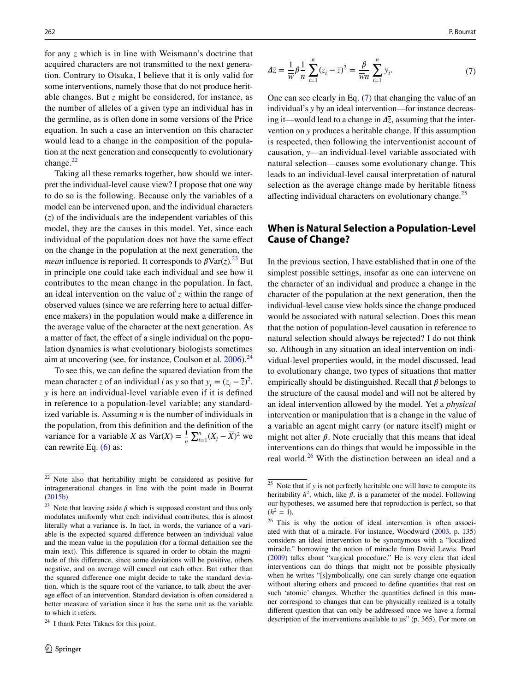for any *z* which is in line with Weismann's doctrine that acquired characters are not transmitted to the next generation. Contrary to Otsuka, I believe that it is only valid for some interventions, namely those that do not produce heritable changes. But *z* might be considered, for instance, as the number of alleles of a given type an individual has in the germline, as is often done in some versions of the Price equation. In such a case an intervention on this character would lead to a change in the composition of the population at the next generation and consequently to evolutionary change. $^{22}$  $^{22}$  $^{22}$ 

Taking all these remarks together, how should we interpret the individual-level cause view? I propose that one way to do so is the following. Because only the variables of a model can be intervened upon, and the individual characters (*z*) of the individuals are the independent variables of this model, they are the causes in this model. Yet, since each individual of the population does not have the same efect on the change in the population at the next generation, the *mean* influence is reported. It corresponds to  $\beta \text{Var}(z)$ .<sup>[23](#page-8-1)</sup> But in principle one could take each individual and see how it contributes to the mean change in the population. In fact, an ideal intervention on the value of *z* within the range of observed values (since we are referring here to actual diference makers) in the population would make a diference in the average value of the character at the next generation. As a matter of fact, the efect of a single individual on the population dynamics is what evolutionary biologists sometimes aim at uncovering (see, for instance, Coulson et al.  $2006$ ).<sup>[24](#page-8-2)</sup>

To see this, we can defne the squared deviation from the mean character *z* of an individual *i* as *y* so that  $y_i = (z_i - \overline{z})^2$ . *y* is here an individual-level variable even if it is defned in reference to a population-level variable; any standardized variable is. Assuming *n* is the number of individuals in the population, from this defnition and the defnition of the variance for a variable *X* as  $Var(X) = \frac{1}{n} \sum_{i=1}^{n} (X_i - \overline{X})^2$  we can rewrite Eq. [\(6](#page-7-2)) as:

<span id="page-8-3"></span>
$$
\Delta \bar{z} = \frac{1}{\bar{w}} \beta \frac{1}{n} \sum_{i=1}^{n} (z_i - \bar{z})^2 = \frac{\beta}{\bar{w}n} \sum_{i=1}^{n} y_i.
$$
 (7)

One can see clearly in Eq. ([7\)](#page-8-3) that changing the value of an individual's *y* by an ideal intervention—for instance decreasing it—would lead to a change in  $\Delta \bar{z}$ , assuming that the intervention on *y* produces a heritable change. If this assumption is respected, then following the interventionist account of causation, *y*—an individual-level variable associated with natural selection—causes some evolutionary change. This leads to an individual-level causal interpretation of natural selection as the average change made by heritable ftness affecting individual characters on evolutionary change.<sup>[25](#page-8-4)</sup>

### **When is Natural Selection a Population‑Level Cause of Change?**

In the previous section, I have established that in one of the simplest possible settings, insofar as one can intervene on the character of an individual and produce a change in the character of the population at the next generation, then the individual-level cause view holds since the change produced would be associated with natural selection. Does this mean that the notion of population-level causation in reference to natural selection should always be rejected? I do not think so. Although in any situation an ideal intervention on individual-level properties would, in the model discussed, lead to evolutionary change, two types of situations that matter empirically should be distinguished. Recall that  $\beta$  belongs to the structure of the causal model and will not be altered by an ideal intervention allowed by the model. Yet a *physical* intervention or manipulation that is a change in the value of a variable an agent might carry (or nature itself) might or might not alter  $\beta$ . Note crucially that this means that ideal interventions can do things that would be impossible in the real world.<sup>26</sup> With the distinction between an ideal and a

<span id="page-8-0"></span><sup>22</sup> Note also that heritability might be considered as positive for intragenerational changes in line with the point made in Bourrat ([2015b](#page-11-13)).

<span id="page-8-1"></span><sup>&</sup>lt;sup>23</sup> Note that leaving aside  $\beta$  which is supposed constant and thus only modulates uniformly what each individual contributes, this is almost literally what a variance is. In fact, in words, the variance of a variable is the expected squared diference between an individual value and the mean value in the population (for a formal defnition see the main text). This diference is squared in order to obtain the magnitude of this diference, since some deviations will be positive, others negative, and on average will cancel out each other. But rather than the squared diference one might decide to take the standard deviation, which is the square root of the variance, to talk about the average efect of an intervention. Standard deviation is often considered a better measure of variation since it has the same unit as the variable to which it refers.

<span id="page-8-2"></span><sup>&</sup>lt;sup>24</sup> I thank Peter Takacs for this point.

<span id="page-8-4"></span><sup>25</sup> Note that if *y* is not perfectly heritable one will have to compute its heritability  $h^2$ , which, like  $\beta$ , is a parameter of the model. Following our hypotheses, we assumed here that reproduction is perfect, so that  $(h^2 = 1)$ .

<span id="page-8-5"></span><sup>&</sup>lt;sup>26</sup> This is why the notion of ideal intervention is often associated with that of a miracle. For instance, Woodward ([2003,](#page-12-19) p. 135) considers an ideal intervention to be synonymous with a "localized miracle," borrowing the notion of miracle from David Lewis. Pearl ([2009\)](#page-12-21) talks about "surgical procedure." He is very clear that ideal interventions can do things that might not be possible physically when he writes "[s]ymbolically, one can surely change one equation without altering others and proceed to define quantities that rest on such 'atomic' changes. Whether the quantities defned in this manner correspond to changes that can be physically realized is a totally diferent question that can only be addressed once we have a formal description of the interventions available to us" (p. 365). For more on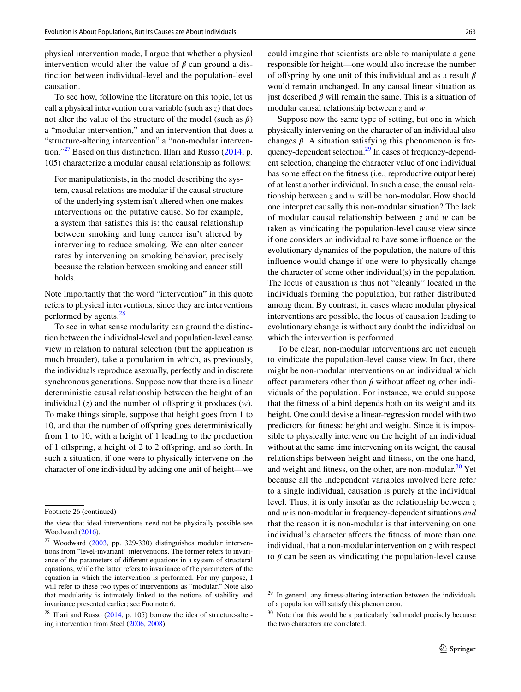physical intervention made, I argue that whether a physical intervention would alter the value of  $\beta$  can ground a distinction between individual-level and the population-level causation.

To see how, following the literature on this topic, let us call a physical intervention on a variable (such as *z*) that does not alter the value of the structure of the model (such as  $\beta$ ) a "modular intervention," and an intervention that does a "structure-altering intervention" a "non-modular intervention."<sup>27</sup> Based on this distinction, Illari and Russo  $(2014, p.$  $(2014, p.$ 105) characterize a modular causal relationship as follows:

For manipulationists, in the model describing the system, causal relations are modular if the causal structure of the underlying system isn't altered when one makes interventions on the putative cause. So for example, a system that satisfes this is: the causal relationship between smoking and lung cancer isn't altered by intervening to reduce smoking. We can alter cancer rates by intervening on smoking behavior, precisely because the relation between smoking and cancer still holds.

Note importantly that the word "intervention" in this quote refers to physical interventions, since they are interventions performed by agents.<sup>[28](#page-9-1)</sup>

To see in what sense modularity can ground the distinction between the individual-level and population-level cause view in relation to natural selection (but the application is much broader), take a population in which, as previously, the individuals reproduce asexually, perfectly and in discrete synchronous generations. Suppose now that there is a linear deterministic causal relationship between the height of an individual  $(z)$  and the number of offspring it produces  $(w)$ . To make things simple, suppose that height goes from 1 to 10, and that the number of ofspring goes deterministically from 1 to 10, with a height of 1 leading to the production of 1 ofspring, a height of 2 to 2 ofspring, and so forth. In such a situation, if one were to physically intervene on the character of one individual by adding one unit of height—we

could imagine that scientists are able to manipulate a gene responsible for height—one would also increase the number of offspring by one unit of this individual and as a result  $\beta$ would remain unchanged. In any causal linear situation as just described  $\beta$  will remain the same. This is a situation of modular causal relationship between *z* and *w*.

Suppose now the same type of setting, but one in which physically intervening on the character of an individual also changes  $\beta$ . A situation satisfying this phenomenon is frequency-dependent selection.<sup>29</sup> In cases of frequency-dependent selection, changing the character value of one individual has some effect on the fitness (i.e., reproductive output here) of at least another individual. In such a case, the causal relationship between *z* and *w* will be non-modular. How should one interpret causally this non-modular situation? The lack of modular causal relationship between *z* and *w* can be taken as vindicating the population-level cause view since if one considers an individual to have some infuence on the evolutionary dynamics of the population, the nature of this infuence would change if one were to physically change the character of some other individual(s) in the population. The locus of causation is thus not "cleanly" located in the individuals forming the population, but rather distributed among them. By contrast, in cases where modular physical interventions are possible, the locus of causation leading to evolutionary change is without any doubt the individual on which the intervention is performed.

To be clear, non-modular interventions are not enough to vindicate the population-level cause view. In fact, there might be non-modular interventions on an individual which affect parameters other than  $\beta$  without affecting other individuals of the population. For instance, we could suppose that the ftness of a bird depends both on its weight and its height. One could devise a linear-regression model with two predictors for ftness: height and weight. Since it is impossible to physically intervene on the height of an individual without at the same time intervening on its weight, the causal relationships between height and ftness, on the one hand, and weight and fitness, on the other, are non-modular.<sup>30</sup> Yet because all the independent variables involved here refer to a single individual, causation is purely at the individual level. Thus, it is only insofar as the relationship between *z* and *w* is non-modular in frequency-dependent situations *and* that the reason it is non-modular is that intervening on one individual's character affects the fitness of more than one individual, that a non-modular intervention on *z* with respect to  $\beta$  can be seen as vindicating the population-level cause

Footnote 26 (continued)

the view that ideal interventions need not be physically possible see Woodward ([2016\)](#page-12-35).

<span id="page-9-0"></span> $27$  Woodward ([2003,](#page-12-19) pp. 329-330) distinguishes modular interventions from "level-invariant" interventions. The former refers to invariance of the parameters of diferent equations in a system of structural equations, while the latter refers to invariance of the parameters of the equation in which the intervention is performed. For my purpose, I will refer to these two types of interventions as "modular." Note also that modularity is intimately linked to the notions of stability and invariance presented earlier; see Footnote 6.

<span id="page-9-1"></span> $^{28}$  Illari and Russo [\(2014](#page-12-33), p. 105) borrow the idea of structure-altering intervention from Steel ([2006,](#page-12-32) [2008\)](#page-12-34).

<span id="page-9-2"></span>In general, any fitness-altering interaction between the individuals of a population will satisfy this phenomenon.

<span id="page-9-3"></span> $30$  Note that this would be a particularly bad model precisely because the two characters are correlated.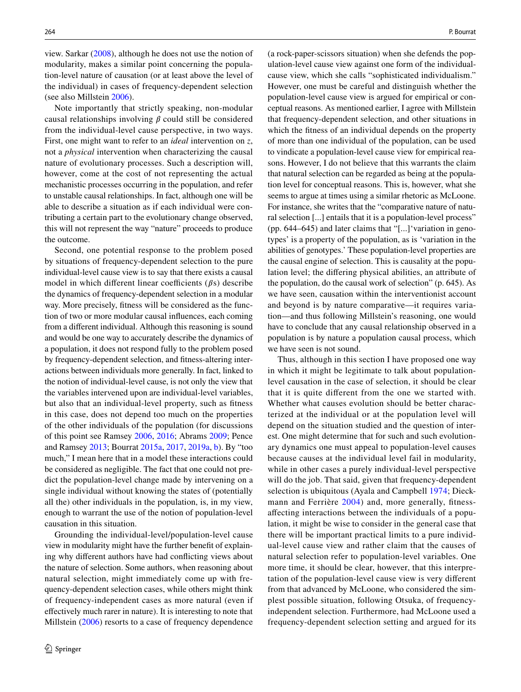view. Sarkar ([2008](#page-12-36)), although he does not use the notion of modularity, makes a similar point concerning the population-level nature of causation (or at least above the level of the individual) in cases of frequency-dependent selection (see also Millstein [2006\)](#page-12-8).

Note importantly that strictly speaking, non-modular causal relationships involving  $\beta$  could still be considered from the individual-level cause perspective, in two ways. First, one might want to refer to an *ideal* intervention on *z*, not a *physical* intervention when characterizing the causal nature of evolutionary processes. Such a description will, however, come at the cost of not representing the actual mechanistic processes occurring in the population, and refer to unstable causal relationships. In fact, although one will be able to describe a situation as if each individual were contributing a certain part to the evolutionary change observed, this will not represent the way "nature" proceeds to produce the outcome.

Second, one potential response to the problem posed by situations of frequency-dependent selection to the pure individual-level cause view is to say that there exists a causal model in which different linear coefficients  $(\beta s)$  describe the dynamics of frequency-dependent selection in a modular way. More precisely, ftness will be considered as the function of two or more modular causal infuences, each coming from a diferent individual. Although this reasoning is sound and would be one way to accurately describe the dynamics of a population, it does not respond fully to the problem posed by frequency-dependent selection, and ftness-altering interactions between individuals more generally. In fact, linked to the notion of individual-level cause, is not only the view that the variables intervened upon are individual-level variables, but also that an individual-level property, such as ftness in this case, does not depend too much on the properties of the other individuals of the population (for discussions of this point see Ramsey [2006,](#page-12-37) [2016](#page-12-38); Abrams [2009;](#page-11-14) Pence and Ramsey [2013](#page-12-39); Bourrat [2015a](#page-11-4), [2017](#page-11-5), [2019a,](#page-11-6) [b\)](#page-11-15). By "too much," I mean here that in a model these interactions could be considered as negligible. The fact that one could not predict the population-level change made by intervening on a single individual without knowing the states of (potentially all the) other individuals in the population, is, in my view, enough to warrant the use of the notion of population-level causation in this situation.

Grounding the individual-level/population-level cause view in modularity might have the further beneft of explaining why diferent authors have had conficting views about the nature of selection. Some authors, when reasoning about natural selection, might immediately come up with frequency-dependent selection cases, while others might think of frequency-independent cases as more natural (even if efectively much rarer in nature). It is interesting to note that Millstein ([2006\)](#page-12-8) resorts to a case of frequency dependence (a rock-paper-scissors situation) when she defends the population-level cause view against one form of the individualcause view, which she calls "sophisticated individualism." However, one must be careful and distinguish whether the population-level cause view is argued for empirical or conceptual reasons. As mentioned earlier, I agree with Millstein that frequency-dependent selection, and other situations in which the ftness of an individual depends on the property of more than one individual of the population, can be used to vindicate a population-level cause view for empirical reasons. However, I do not believe that this warrants the claim that natural selection can be regarded as being at the population level for conceptual reasons. This is, however, what she seems to argue at times using a similar rhetoric as McLoone. For instance, she writes that the "comparative nature of natural selection [...] entails that it is a population-level process" (pp. 644–645) and later claims that "[...]'variation in genotypes' is a property of the population, as is 'variation in the abilities of genotypes.' These population-level properties are the causal engine of selection. This is causality at the population level; the difering physical abilities, an attribute of the population, do the causal work of selection" (p. 645). As we have seen, causation within the interventionist account and beyond is by nature comparative—it requires variation—and thus following Millstein's reasoning, one would have to conclude that any causal relationship observed in a population is by nature a population causal process, which we have seen is not sound.

Thus, although in this section I have proposed one way in which it might be legitimate to talk about populationlevel causation in the case of selection, it should be clear that it is quite diferent from the one we started with. Whether what causes evolution should be better characterized at the individual or at the population level will depend on the situation studied and the question of interest. One might determine that for such and such evolutionary dynamics one must appeal to population-level causes because causes at the individual level fail in modularity, while in other cases a purely individual-level perspective will do the job. That said, given that frequency-dependent selection is ubiquitous (Ayala and Campbell [1974;](#page-11-16) Dieck-mann and Ferrière [2004](#page-11-17)) and, more generally, fitnessafecting interactions between the individuals of a population, it might be wise to consider in the general case that there will be important practical limits to a pure individual-level cause view and rather claim that the causes of natural selection refer to population-level variables. One more time, it should be clear, however, that this interpretation of the population-level cause view is very diferent from that advanced by McLoone, who considered the simplest possible situation, following Otsuka, of frequencyindependent selection. Furthermore, had McLoone used a frequency-dependent selection setting and argued for its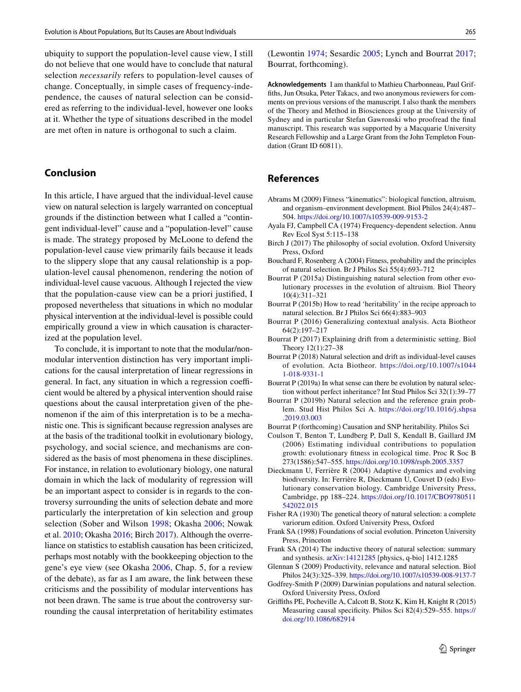ubiquity to support the population-level cause view, I still do not believe that one would have to conclude that natural selection *necessarily* refers to population-level causes of change. Conceptually, in simple cases of frequency-independence, the causes of natural selection can be considered as referring to the individual-level, however one looks at it. Whether the type of situations described in the model are met often in nature is orthogonal to such a claim.

#### **Conclusion**

In this article, I have argued that the individual-level cause view on natural selection is largely warranted on conceptual grounds if the distinction between what I called a "contingent individual-level" cause and a "population-level" cause is made. The strategy proposed by McLoone to defend the population-level cause view primarily fails because it leads to the slippery slope that any causal relationship is a population-level causal phenomenon, rendering the notion of individual-level cause vacuous. Although I rejected the view that the population-cause view can be a priori justifed, I proposed nevertheless that situations in which no modular physical intervention at the individual-level is possible could empirically ground a view in which causation is characterized at the population level.

To conclude, it is important to note that the modular/nonmodular intervention distinction has very important implications for the causal interpretation of linear regressions in general. In fact, any situation in which a regression coefficient would be altered by a physical intervention should raise questions about the causal interpretation given of the phenomenon if the aim of this interpretation is to be a mechanistic one. This is signifcant because regression analyses are at the basis of the traditional toolkit in evolutionary biology, psychology, and social science, and mechanisms are considered as the basis of most phenomena in these disciplines. For instance, in relation to evolutionary biology, one natural domain in which the lack of modularity of regression will be an important aspect to consider is in regards to the controversy surrounding the units of selection debate and more particularly the interpretation of kin selection and group selection (Sober and Wilson [1998](#page-12-40); Okasha [2006](#page-12-29); Nowak et al. [2010](#page-12-41); Okasha [2016](#page-12-42); Birch [2017](#page-11-18)). Although the overreliance on statistics to establish causation has been criticized, perhaps most notably with the bookkeeping objection to the gene's eye view (see Okasha [2006,](#page-12-29) Chap. 5, for a review of the debate), as far as I am aware, the link between these criticisms and the possibility of modular interventions has not been drawn. The same is true about the controversy surrounding the causal interpretation of heritability estimates

(Lewontin [1974](#page-12-43); Sesardic [2005](#page-12-44); Lynch and Bourrat [2017](#page-12-45); Bourrat, forthcoming).

**Acknowledgements** I am thankful to Mathieu Charbonneau, Paul Griffths, Jun Otsuka, Peter Takacs, and two anonymous reviewers for comments on previous versions of the manuscript. I also thank the members of the Theory and Method in Biosciences group at the University of Sydney and in particular Stefan Gawronski who proofread the fnal manuscript. This research was supported by a Macquarie University Research Fellowship and a Large Grant from the John Templeton Foundation (Grant ID 60811).

## **References**

- <span id="page-11-14"></span>Abrams M (2009) Fitness "kinematics": biological function, altruism, and organism–environment development. Biol Philos 24(4):487– 504.<https://doi.org/10.1007/s10539-009-9153-2>
- <span id="page-11-16"></span>Ayala FJ, Campbell CA (1974) Frequency-dependent selection. Annu Rev Ecol Syst 5:115–138
- <span id="page-11-18"></span>Birch J (2017) The philosophy of social evolution. Oxford University Press, Oxford
- <span id="page-11-0"></span>Bouchard F, Rosenberg A (2004) Fitness, probability and the principles of natural selection. Br J Philos Sci 55(4):693–712
- <span id="page-11-4"></span>Bourrat P (2015a) Distinguishing natural selection from other evolutionary processes in the evolution of altruism. Biol Theory 10(4):311–321
- <span id="page-11-13"></span>Bourrat P (2015b) How to read 'heritability' in the recipe approach to natural selection. Br J Philos Sci 66(4):883–903
- <span id="page-11-11"></span>Bourrat P (2016) Generalizing contextual analysis. Acta Biotheor 64(2):197–217
- <span id="page-11-5"></span>Bourrat P (2017) Explaining drift from a deterministic setting. Biol Theory 12(1):27–38
- <span id="page-11-1"></span>Bourrat P (2018) Natural selection and drift as individual-level causes of evolution. Acta Biotheor. [https://doi.org/10.1007/s1044](https://doi.org/10.1007/s10441-018-9331-1) [1-018-9331-1](https://doi.org/10.1007/s10441-018-9331-1)
- <span id="page-11-6"></span>Bourrat P (2019a) In what sense can there be evolution by natural selection without perfect inheritance? Int Stud Philos Sci 32(1):39–77
- <span id="page-11-15"></span>Bourrat P (2019b) Natural selection and the reference grain problem. Stud Hist Philos Sci A. [https://doi.org/10.1016/j.shpsa](https://doi.org/10.1016/j.shpsa.2019.03.003) [.2019.03.003](https://doi.org/10.1016/j.shpsa.2019.03.003)
- Bourrat P (forthcoming) Causation and SNP heritability. Philos Sci
- <span id="page-11-12"></span>Coulson T, Benton T, Lundberg P, Dall S, Kendall B, Gaillard JM (2006) Estimating individual contributions to population growth: evolutionary ftness in ecological time. Proc R Soc B 273(1586):547–555. <https://doi.org/10.1098/rspb.2005.3357>
- <span id="page-11-17"></span>Dieckmann U, Ferrière R (2004) Adaptive dynamics and evolving biodiversity. In: Ferrière R, Dieckmann U, Couvet D (eds) Evolutionary conservation biology. Cambridge University Press, Cambridge, pp 188–224. [https://doi.org/10.1017/CBO9780511](https://doi.org/10.1017/CBO9780511542022.015) [542022.015](https://doi.org/10.1017/CBO9780511542022.015)
- <span id="page-11-7"></span>Fisher RA (1930) The genetical theory of natural selection: a complete variorum edition. Oxford University Press, Oxford
- <span id="page-11-10"></span>Frank SA (1998) Foundations of social evolution. Princeton University Press, Princeton
- <span id="page-11-8"></span>Frank SA (2014) The inductive theory of natural selection: summary and synthesis. [arXiv:14121285](http://arxiv.org/abs/14121285) [physics, q-bio] 1412.1285
- <span id="page-11-2"></span>Glennan S (2009) Productivity, relevance and natural selection. Biol Philos 24(3):325–339. <https://doi.org/10.1007/s10539-008-9137-7>
- <span id="page-11-3"></span>Godfrey-Smith P (2009) Darwinian populations and natural selection. Oxford University Press, Oxford
- <span id="page-11-9"></span>Grifths PE, Pocheville A, Calcott B, Stotz K, Kim H, Knight R (2015) Measuring causal specifcity. Philos Sci 82(4):529–555. [https://](https://doi.org/10.1086/682914) [doi.org/10.1086/682914](https://doi.org/10.1086/682914)